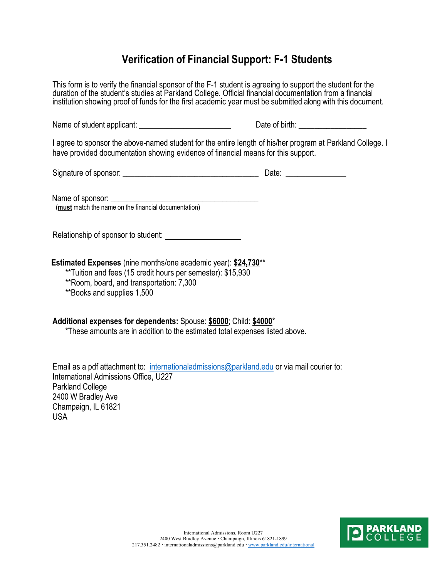## **Verification of Financial Support: F-1 Students**

This form is to verify the financial sponsor of the F-1 student is agreeing to support the student for the duration of the student's studies at Parkland College. Official financial documentation from a financial institution showing proof of funds for the first academic year must be submitted along with this document.

Name of student applicant: \_\_\_\_\_\_\_\_\_\_\_\_\_\_\_\_\_\_\_\_\_\_\_ Date of birth: \_\_\_\_\_\_\_\_\_\_\_\_\_\_\_\_\_

I agree to sponsor the above-named student for the entire length of his/her program at Parkland College. I have provided documentation showing evidence of financial means for this support.

Signature of sponsor: \_\_\_\_\_\_\_\_\_\_\_\_\_\_\_\_\_\_\_\_\_\_\_\_\_\_\_\_\_\_\_\_\_\_ Date: **\_\_\_\_\_\_\_\_\_\_\_\_\_\_\_**

Name of sponsor:

(**must** match the name on the financial documentation)

Relationship of sponsor to student:

**Estimated Expenses** (nine months/one academic year): **\$24,730**\*\*

\*\*Tuition and fees (15 credit hours per semester): \$15,930

\*\*Room, board, and transportation: 7,300

\*\*Books and supplies 1,500

## **Additional expenses for dependents:** Spouse: **\$6000**; Child: **\$4000**\*

\*These amounts are in addition to the estimated total expenses listed above.

Email as a pdf attachment to: [internationaladmissions@parkland.edu](mailto:internationaladmissions@parkland.edu) or via mail courier to: International Admissions Office, U227 Parkland College 2400 W Bradley Ave Champaign, IL 61821 USA